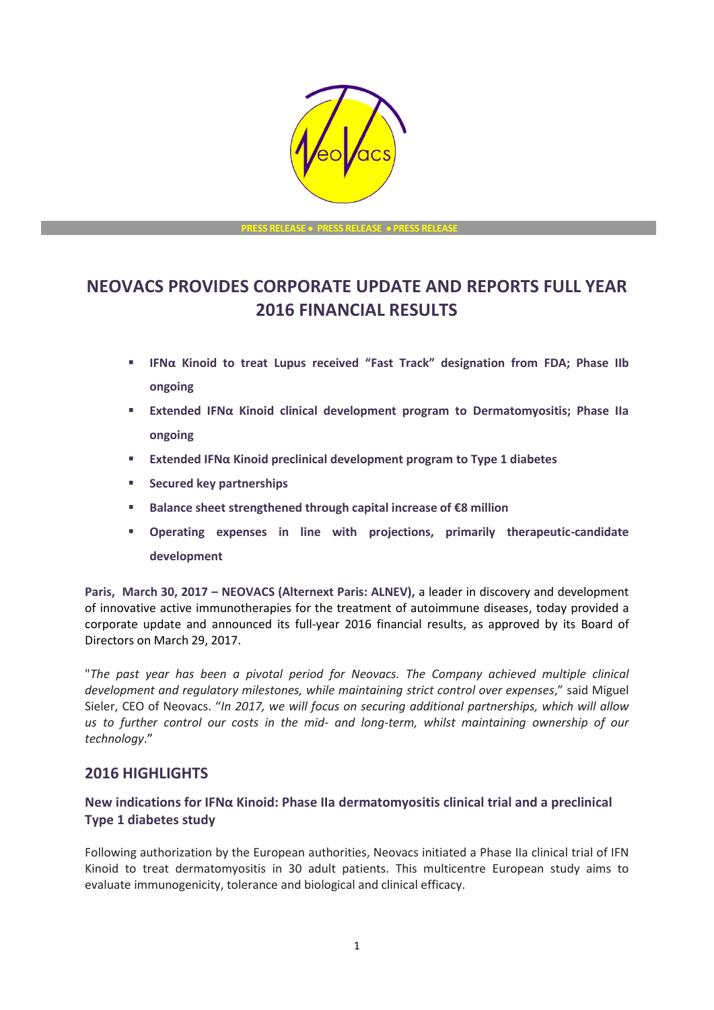

**PRESS RELEASE** • **PRESS RELEASE** • **PRESS RELEASE**

# **NEOVACS PROVIDES CORPORATE UPDATE AND REPORTS FULL YEAR 2016 FINANCIAL RESULTS**

- **IFNα Kinoid to treat Lupus received "Fast Track" designation from FDA; Phase IIb ongoing**
- **Extended IFNα Kinoid clinical development program to Dermatomyositis; Phase IIa ongoing**
- **Extended IFNα Kinoid preclinical development program to Type 1 diabetes**
- **Secured key partnerships**
- **Balance sheet strengthened through capital increase of €8 million**
- **Operating expenses in line with projections, primarily therapeutic-candidate development**

**Paris, March 30, 2017 – NEOVACS (Alternext Paris: ALNEV),** a leader in discovery and development of innovative active immunotherapies for the treatment of autoimmune diseases, today provided a corporate update and announced its full-year 2016 financial results, as approved by its Board of Directors on March 29, 2017.

"*The past year has been a pivotal period for Neovacs. The Company achieved multiple clinical development and regulatory milestones, while maintaining strict control over expenses*," said Miguel Sieler, CEO of Neovacs. "*In 2017, we will focus on securing additional partnerships, which will allow us to further control our costs in the mid- and long-term, whilst maintaining ownership of our technology*."

# **2016 HIGHLIGHTS**

### **New indications for IFNα Kinoid: Phase IIa dermatomyositis clinical trial and a preclinical Type 1 diabetes study**

Following authorization by the European authorities, Neovacs initiated a Phase IIa clinical trial of IFN Kinoid to treat dermatomyositis in 30 adult patients. This multicentre European study aims to evaluate immunogenicity, tolerance and biological and clinical efficacy.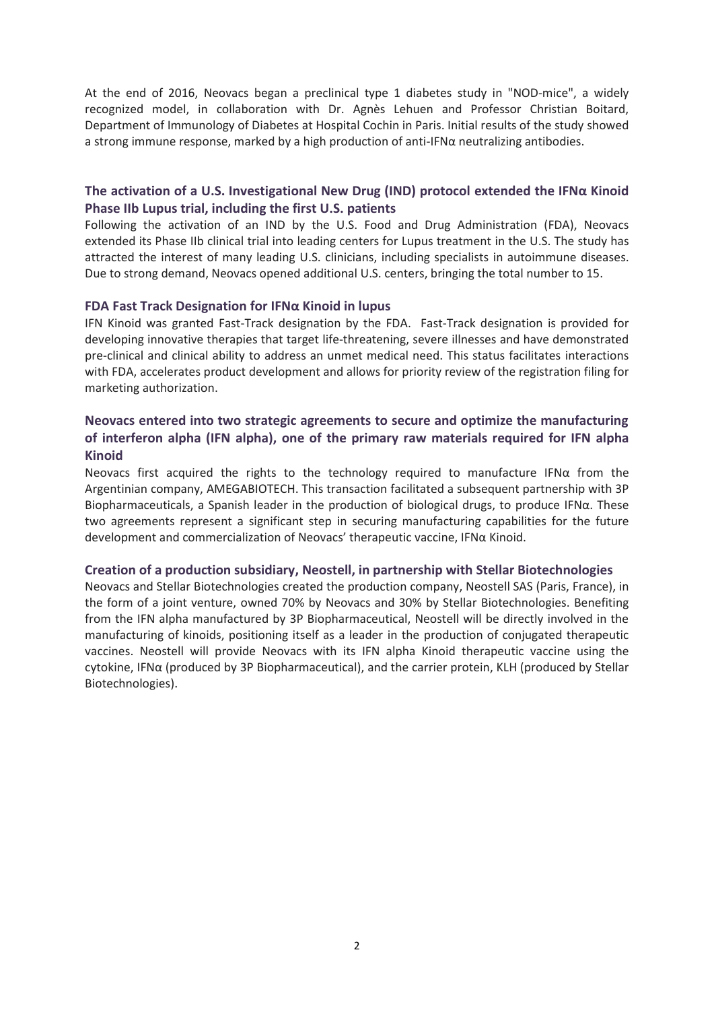At the end of 2016, Neovacs began a preclinical type 1 diabetes study in "NOD-mice", a widely recognized model, in collaboration with Dr. Agnès Lehuen and Professor Christian Boitard, Department of Immunology of Diabetes at Hospital Cochin in Paris. Initial results of the study showed a strong immune response, marked by a high production of anti-IFN $\alpha$  neutralizing antibodies.

### **The activation of a U.S. Investigational New Drug (IND) protocol extended the IFNα Kinoid Phase IIb Lupus trial, including the first U.S. patients**

Following the activation of an IND by the U.S. Food and Drug Administration (FDA), Neovacs extended its Phase IIb clinical trial into leading centers for Lupus treatment in the U.S. The study has attracted the interest of many leading U.S. clinicians, including specialists in autoimmune diseases. Due to strong demand, Neovacs opened additional U.S. centers, bringing the total number to 15.

### **FDA Fast Track Designation for IFNα Kinoid in lupus**

IFN Kinoid was granted Fast-Track designation by the FDA. Fast-Track designation is provided for developing innovative therapies that target life-threatening, severe illnesses and have demonstrated pre-clinical and clinical ability to address an unmet medical need. This status facilitates interactions with FDA, accelerates product development and allows for priority review of the registration filing for marketing authorization.

### **Neovacs entered into two strategic agreements to secure and optimize the manufacturing of interferon alpha (IFN alpha), one of the primary raw materials required for IFN alpha Kinoid**

Neovacs first acquired the rights to the technology required to manufacture IFN $\alpha$  from the Argentinian company, AMEGABIOTECH. This transaction facilitated a subsequent partnership with 3P Biopharmaceuticals, a Spanish leader in the production of biological drugs, to produce IFNα. These two agreements represent a significant step in securing manufacturing capabilities for the future development and commercialization of Neovacs' therapeutic vaccine, IFNα Kinoid.

#### **Creation of a production subsidiary, Neostell, in partnership with Stellar Biotechnologies**

Neovacs and Stellar Biotechnologies created the production company, Neostell SAS (Paris, France), in the form of a joint venture, owned 70% by Neovacs and 30% by Stellar Biotechnologies. Benefiting from the IFN alpha manufactured by 3P Biopharmaceutical, Neostell will be directly involved in the manufacturing of kinoids, positioning itself as a leader in the production of conjugated therapeutic vaccines. Neostell will provide Neovacs with its IFN alpha Kinoid therapeutic vaccine using the cytokine, IFNα (produced by 3P Biopharmaceutical), and the carrier protein, KLH (produced by Stellar Biotechnologies).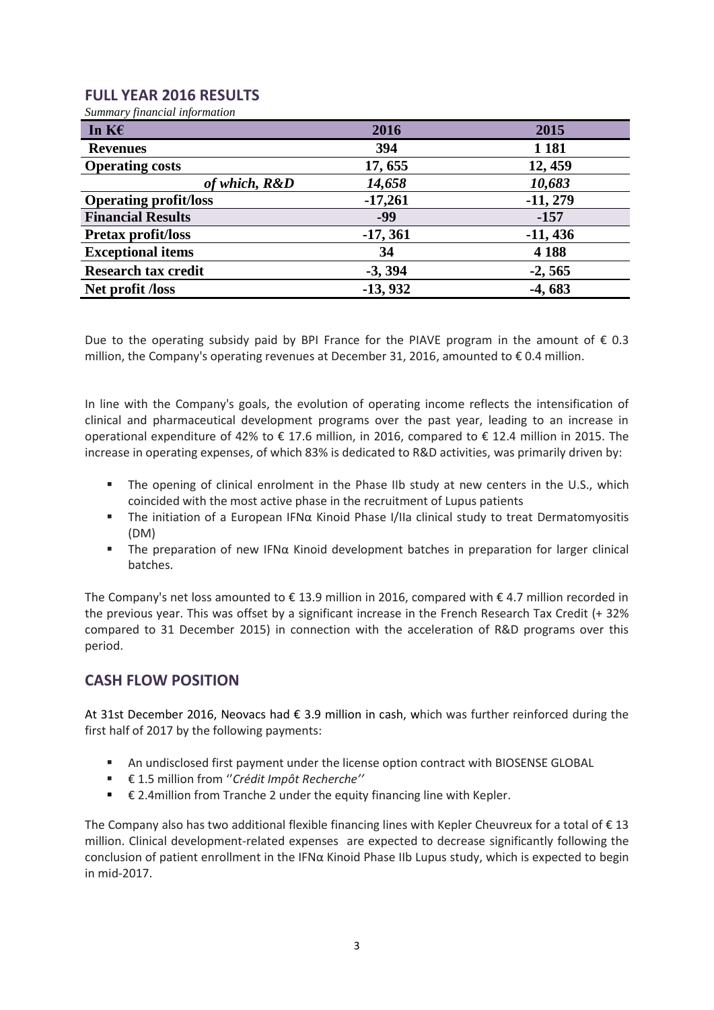# **FULL YEAR 2016 RESULTS**

*Summary financial information* 

| In $K\epsilon$               | 2016       | 2015       |
|------------------------------|------------|------------|
| <b>Revenues</b>              | 394        | 1 1 8 1    |
| <b>Operating costs</b>       | 17,655     | 12, 459    |
| of which, R&D                | 14,658     | 10,683     |
| <b>Operating profit/loss</b> | $-17,261$  | $-11, 279$ |
| <b>Financial Results</b>     | -99        | $-157$     |
| <b>Pretax profit/loss</b>    | $-17, 361$ | $-11,436$  |
| <b>Exceptional items</b>     | 34         | 4 1 8 8    |
| <b>Research tax credit</b>   | $-3, 394$  | $-2,565$   |
| Net profit /loss             | $-13,932$  | $-4,683$   |

Due to the operating subsidy paid by BPI France for the PIAVE program in the amount of  $\epsilon$  0.3 million, the Company's operating revenues at December 31, 2016, amounted to  $\epsilon$  0.4 million.

In line with the Company's goals, the evolution of operating income reflects the intensification of clinical and pharmaceutical development programs over the past year, leading to an increase in operational expenditure of 42% to € 17.6 million, in 2016, compared to € 12.4 million in 2015. The increase in operating expenses, of which 83% is dedicated to R&D activities, was primarily driven by:

- The opening of clinical enrolment in the Phase IIb study at new centers in the U.S., which coincided with the most active phase in the recruitment of Lupus patients
- The initiation of a European IFNα Kinoid Phase I/IIa clinical study to treat Dermatomyositis (DM)
- The preparation of new IFNα Kinoid development batches in preparation for larger clinical batches.

The Company's net loss amounted to € 13.9 million in 2016, compared with € 4.7 million recorded in the previous year. This was offset by a significant increase in the French Research Tax Credit (+ 32% compared to 31 December 2015) in connection with the acceleration of R&D programs over this period.

# **CASH FLOW POSITION**

At 31st December 2016, Neovacs had € 3.9 million in cash, which was further reinforced during the first half of 2017 by the following payments:

- An undisclosed first payment under the license option contract with BIOSENSE GLOBAL
- € 1.5 million from ''*Crédit Impôt Recherche''*
- $\epsilon$  2.4 million from Tranche 2 under the equity financing line with Kepler.

The Company also has two additional flexible financing lines with Kepler Cheuvreux for a total of € 13 million. Clinical development-related expenses are expected to decrease significantly following the conclusion of patient enrollment in the IFNα Kinoid Phase IIb Lupus study, which is expected to begin in mid-2017.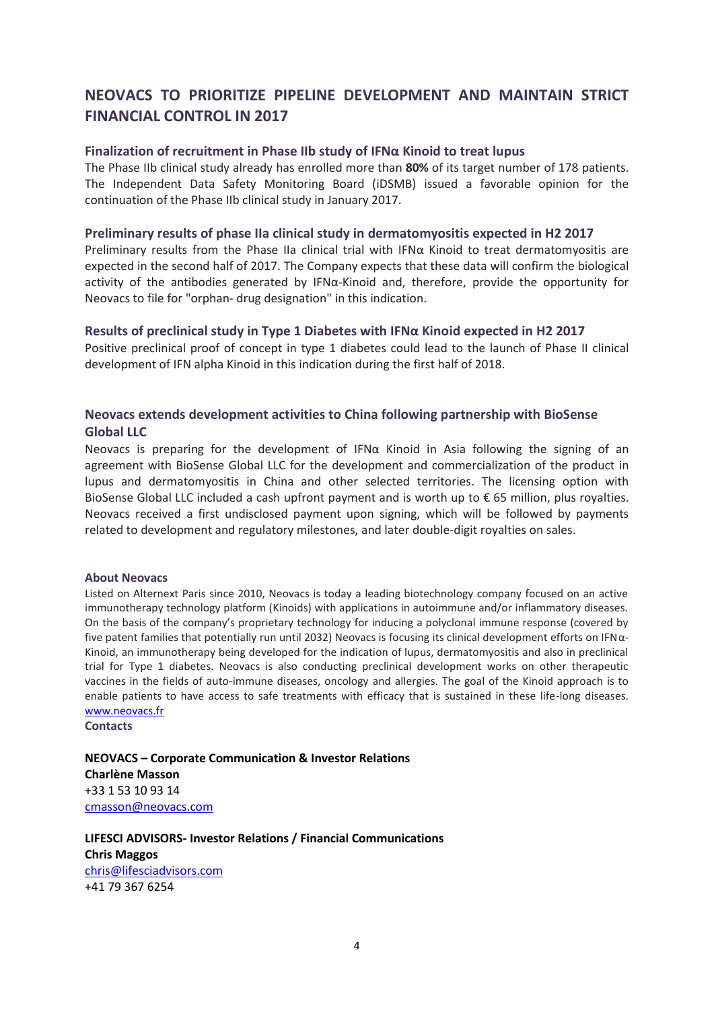# **NEOVACS TO PRIORITIZE PIPELINE DEVELOPMENT AND MAINTAIN STRICT FINANCIAL CONTROL IN 2017**

#### **Finalization of recruitment in Phase IIb study of IFNα Kinoid to treat lupus**

The Phase IIb clinical study already has enrolled more than **80%** of its target number of 178 patients. The Independent Data Safety Monitoring Board (iDSMB) issued a favorable opinion for the continuation of the Phase IIb clinical study in January 2017.

#### **Preliminary results of phase IIa clinical study in dermatomyositis expected in H2 2017**

Preliminary results from the Phase IIa clinical trial with IFN $\alpha$  Kinoid to treat dermatomyositis are expected in the second half of 2017. The Company expects that these data will confirm the biological activity of the antibodies generated by IFNα-Kinoid and, therefore, provide the opportunity for Neovacs to file for "orphan- drug designation" in this indication.

### **Results of preclinical study in Type 1 Diabetes with IFNα Kinoid expected in H2 2017**

Positive preclinical proof of concept in type 1 diabetes could lead to the launch of Phase II clinical development of IFN alpha Kinoid in this indication during the first half of 2018.

### **Neovacs extends development activities to China following partnership with BioSense Global LLC**

Neovacs is preparing for the development of IFN $\alpha$  Kinoid in Asia following the signing of an agreement with BioSense Global LLC for the development and commercialization of the product in lupus and dermatomyositis in China and other selected territories. The licensing option with BioSense Global LLC included a cash upfront payment and is worth up to € 65 million, plus royalties. Neovacs received a first undisclosed payment upon signing, which will be followed by payments related to development and regulatory milestones, and later double-digit royalties on sales.

#### **About Neovacs**

Listed on Alternext Paris since 2010, Neovacs is today a leading biotechnology company focused on an active immunotherapy technology platform (Kinoids) with applications in autoimmune and/or inflammatory diseases. On the basis of the company's proprietary technology for inducing a polyclonal immune response (covered by five patent families that potentially run until 2032) Neovacs is focusing its clinical development efforts on IFNα-Kinoid, an immunotherapy being developed for the indication of lupus, dermatomyositis and also in preclinical trial for Type 1 diabetes. Neovacs is also conducting preclinical development works on other therapeutic vaccines in the fields of auto-immune diseases, oncology and allergies. The goal of the Kinoid approach is to enable patients to have access to safe treatments with efficacy that is sustained in these life-long diseases. [www.neovacs.fr](http://www.neovacs.fr/)

**Contacts** 

**NEOVACS – Corporate Communication & Investor Relations Charlène Masson** +33 1 53 10 93 14 [cmasson@neovacs.com](mailto:ntrepo@neovacs.com)

**LIFESCI ADVISORS- Investor Relations / Financial Communications Chris Maggos**  [chris@lifesciadvisors.com](mailto:chris@lifesciadvisors.com) +41 79 367 6254